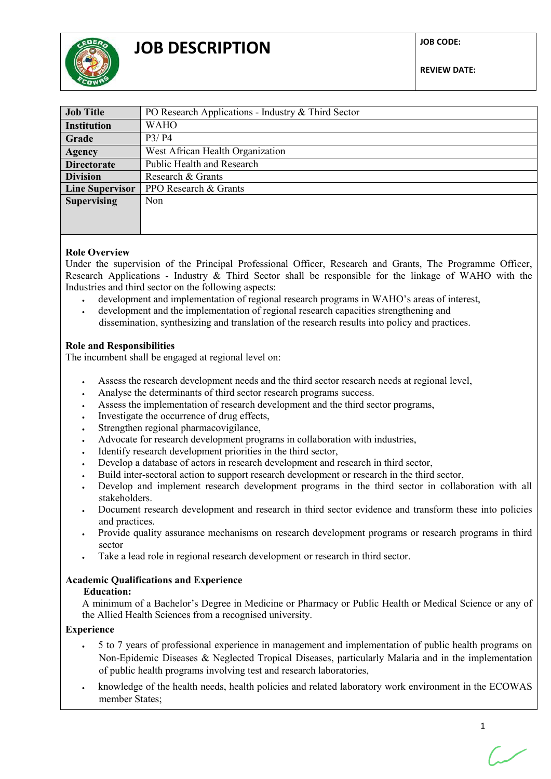

| <b>Job Title</b>       | PO Research Applications - Industry & Third Sector |
|------------------------|----------------------------------------------------|
| <b>Institution</b>     | <b>WAHO</b>                                        |
| Grade                  | P3/P4                                              |
| <b>Agency</b>          | West African Health Organization                   |
| <b>Directorate</b>     | Public Health and Research                         |
| <b>Division</b>        | Research & Grants                                  |
| <b>Line Supervisor</b> | PPO Research & Grants                              |
| <b>Supervising</b>     | <b>Non</b>                                         |
|                        |                                                    |
|                        |                                                    |

## **Role Overview**

Under the supervision of the Principal Professional Officer, Research and Grants, The Programme Officer, Research Applications - Industry & Third Sector shall be responsible for the linkage of WAHO with the Industries and third sector on the following aspects:

- development and implementation of regional research programs in WAHO's areas of interest,
- development and the implementation of regional research capacities strengthening and dissemination, synthesizing and translation of the research results into policy and practices.

#### **Role and Responsibilities**

The incumbent shall be engaged at regional level on:

- Assess the research development needs and the third sector research needs at regional level,
- Analyse the determinants of third sector research programs success.
- Assess the implementation of research development and the third sector programs,
- Investigate the occurrence of drug effects,
- Strengthen regional pharmacovigilance,
- Advocate for research development programs in collaboration with industries,
- Identify research development priorities in the third sector,
- Develop a database of actors in research development and research in third sector,
- Build inter-sectoral action to support research development or research in the third sector,
- Develop and implement research development programs in the third sector in collaboration with all stakeholders.
- Document research development and research in third sector evidence and transform these into policies and practices.
- Provide quality assurance mechanisms on research development programs or research programs in third sector
- Take a lead role in regional research development or research in third sector.

# **Academic Qualifications and Experience**

#### **Education:**

A minimum of a Bachelor's Degree in Medicine or Pharmacy or Public Health or Medical Science or any of the Allied Health Sciences from a recognised university.

## **Experience**

- 5 to 7 years of professional experience in management and implementation of public health programs on Non-Epidemic Diseases & Neglected Tropical Diseases, particularly Malaria and in the implementation of public health programs involving test and research laboratories,
- knowledge of the health needs, health policies and related laboratory work environment in the ECOWAS member States;

1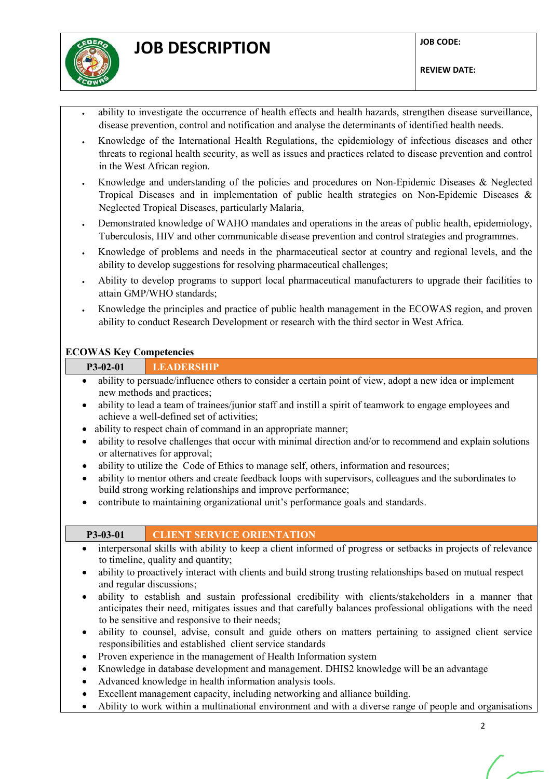

- ability to investigate the occurrence of health effects and health hazards, strengthen disease surveillance, disease prevention, control and notification and analyse the determinants of identified health needs.
- Knowledge of the International Health Regulations, the epidemiology of infectious diseases and other threats to regional health security, as well as issues and practices related to disease prevention and control in the West African region.
- Knowledge and understanding of the policies and procedures on Non-Epidemic Diseases & Neglected Tropical Diseases and in implementation of public health strategies on Non-Epidemic Diseases & Neglected Tropical Diseases, particularly Malaria,
- Demonstrated knowledge of WAHO mandates and operations in the areas of public health, epidemiology, Tuberculosis, HIV and other communicable disease prevention and control strategies and programmes.
- Knowledge of problems and needs in the pharmaceutical sector at country and regional levels, and the ability to develop suggestions for resolving pharmaceutical challenges;
- Ability to develop programs to support local pharmaceutical manufacturers to upgrade their facilities to attain GMP/WHO standards;
- Knowledge the principles and practice of public health management in the ECOWAS region, and proven ability to conduct Research Development or research with the third sector in West Africa.

# **ECOWAS Key Competencies**

# **P3-02-01 LEADERSHIP**

- ability to persuade/influence others to consider a certain point of view, adopt a new idea or implement new methods and practices;
- ability to lead a team of trainees/junior staff and instill a spirit of teamwork to engage employees and achieve a well-defined set of activities;
- ability to respect chain of command in an appropriate manner;
- ability to resolve challenges that occur with minimal direction and/or to recommend and explain solutions or alternatives for approval;
- ability to utilize the Code of Ethics to manage self, others, information and resources;
- ability to mentor others and create feedback loops with supervisors, colleagues and the subordinates to build strong working relationships and improve performance;
- contribute to maintaining organizational unit's performance goals and standards.

# **P3-03-01 CLIENT SERVICE ORIENTATION**

- interpersonal skills with ability to keep a client informed of progress or setbacks in projects of relevance to timeline, quality and quantity;
- ability to proactively interact with clients and build strong trusting relationships based on mutual respect and regular discussions;
- ability to establish and sustain professional credibility with clients/stakeholders in a manner that anticipates their need, mitigates issues and that carefully balances professional obligations with the need to be sensitive and responsive to their needs;
- ability to counsel, advise, consult and guide others on matters pertaining to assigned client service responsibilities and established client service standards
- Proven experience in the management of Health Information system
- Knowledge in database development and management. DHIS2 knowledge will be an advantage
- Advanced knowledge in health information analysis tools.
- Excellent management capacity, including networking and alliance building.
- Ability to work within a multinational environment and with a diverse range of people and organisations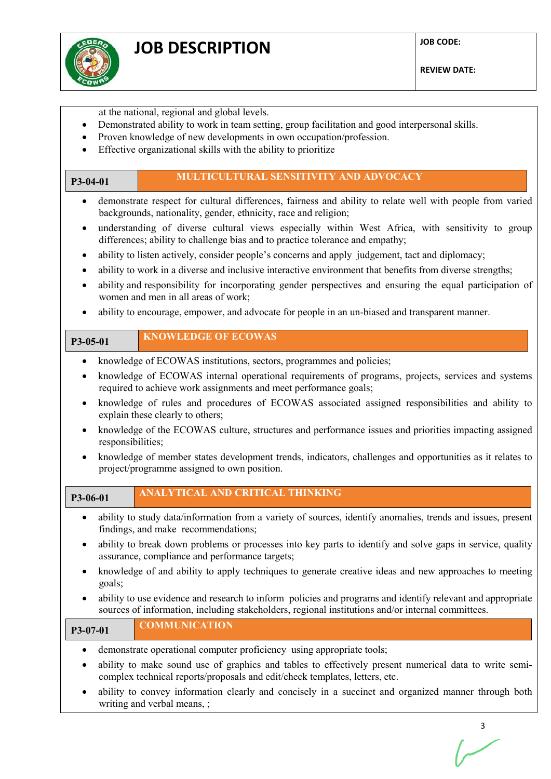

at the national, regional and global levels.

writing and verbal means, ;

- Demonstrated ability to work in team setting, group facilitation and good interpersonal skills.
- Proven knowledge of new developments in own occupation/profession.
- Effective organizational skills with the ability to prioritize

| P3-04-01               | MULTICULTURAL SENSITIVITY AND ADVOCACY                                                                                                                                                                          |
|------------------------|-----------------------------------------------------------------------------------------------------------------------------------------------------------------------------------------------------------------|
| $\bullet$              | demonstrate respect for cultural differences, fairness and ability to relate well with people from varied<br>backgrounds, nationality, gender, ethnicity, race and religion;                                    |
| $\bullet$              | understanding of diverse cultural views especially within West Africa, with sensitivity to group<br>differences; ability to challenge bias and to practice tolerance and empathy;                               |
| $\bullet$<br>$\bullet$ | ability to listen actively, consider people's concerns and apply judgement, tact and diplomacy;<br>ability to work in a diverse and inclusive interactive environment that benefits from diverse strengths;     |
| ٠                      | ability and responsibility for incorporating gender perspectives and ensuring the equal participation of<br>women and men in all areas of work;                                                                 |
| $\bullet$              | ability to encourage, empower, and advocate for people in an un-biased and transparent manner.                                                                                                                  |
| P3-05-01               | <b>KNOWLEDGE OF ECOWAS</b>                                                                                                                                                                                      |
| $\bullet$              | knowledge of ECOWAS institutions, sectors, programmes and policies;                                                                                                                                             |
| $\bullet$              | knowledge of ECOWAS internal operational requirements of programs, projects, services and systems<br>required to achieve work assignments and meet performance goals;                                           |
| $\bullet$              | knowledge of rules and procedures of ECOWAS associated assigned responsibilities and ability to<br>explain these clearly to others;                                                                             |
| responsibilities;      | knowledge of the ECOWAS culture, structures and performance issues and priorities impacting assigned                                                                                                            |
| $\bullet$              | knowledge of member states development trends, indicators, challenges and opportunities as it relates to<br>project/programme assigned to own position.                                                         |
| P3-06-01               | <b>ANALYTICAL AND CRITICAL THINKING</b>                                                                                                                                                                         |
| ٠                      | ability to study data/information from a variety of sources, identify anomalies, trends and issues, present<br>findings, and make recommendations;                                                              |
| $\bullet$              | ability to break down problems or processes into key parts to identify and solve gaps in service, quality<br>assurance, compliance and performance targets;                                                     |
| goals;                 | knowledge of and ability to apply techniques to generate creative ideas and new approaches to meeting                                                                                                           |
|                        | ability to use evidence and research to inform policies and programs and identify relevant and appropriate<br>sources of information, including stakeholders, regional institutions and/or internal committees. |
| P3-07-01               | <b>COMMUNICATION</b>                                                                                                                                                                                            |
| ٠                      | demonstrate operational computer proficiency using appropriate tools;                                                                                                                                           |
| ٠                      | ability to make sound use of graphics and tables to effectively present numerical data to write semi-<br>complex technical reports/proposals and edit/check templates, letters, etc.                            |
|                        | ability to convey information clearly and concisely in a succinct and organized manner through both                                                                                                             |